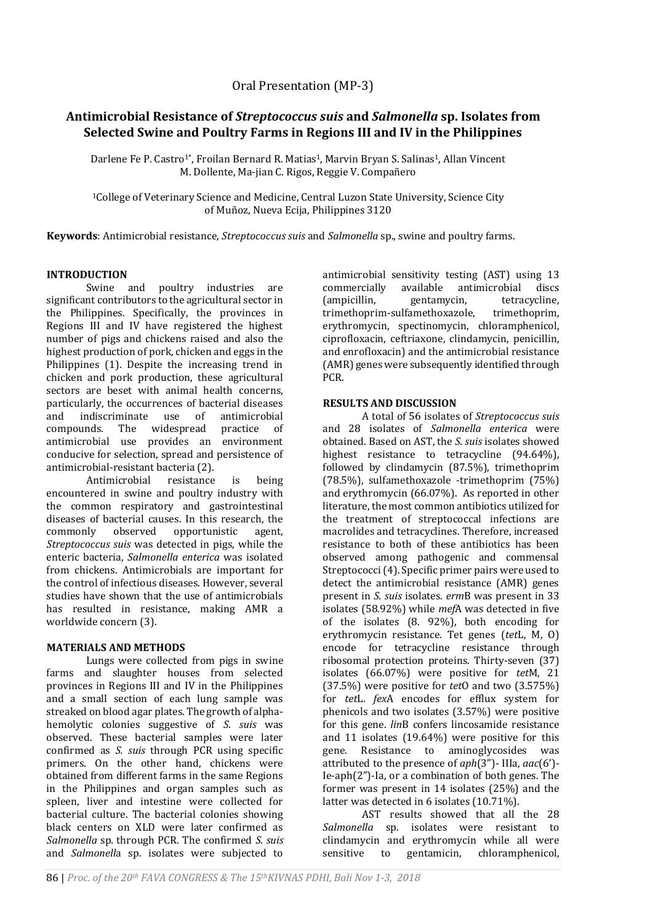# **Antimicrobial Resistance of** *Streptococcus suis* **and** *Salmonella* **sp. Isolates from Selected Swine and Poultry Farms in Regions III and IV in the Philippines**

Darlene Fe P. Castro<sup>1\*</sup>, Froilan Bernard R. Matias<sup>1</sup>, Marvin Bryan S. Salinas<sup>1</sup>, Allan Vincent M. Dollente, Ma-jian C. Rigos, Reggie V. Compañero

<sup>1</sup>College of Veterinary Science and Medicine, Central Luzon State University, Science City of Muñoz, Nueva Ecija, Philippines 3120

**Keywords**: Antimicrobial resistance, *Streptococcus suis* and *Salmonella* sp., swine and poultry farms.

### **INTRODUCTION**

Swine and poultry industries are significant contributors to the agricultural sector in the Philippines. Specifically, the provinces in Regions III and IV have registered the highest number of pigs and chickens raised and also the highest production of pork, chicken and eggs in the Philippines (1). Despite the increasing trend in chicken and pork production, these agricultural sectors are beset with animal health concerns, particularly, the occurrences of bacterial diseases and indiscriminate use of antimicrobial compounds. The widespread practice of antimicrobial use provides an environment conducive for selection, spread and persistence of antimicrobial-resistant bacteria (2).

Antimicrobial resistance is being encountered in swine and poultry industry with the common respiratory and gastrointestinal diseases of bacterial causes. In this research, the commonly observed opportunistic agent, *Streptococcus suis* was detected in pigs, while the enteric bacteria, *Salmonella enterica* was isolated from chickens. Antimicrobials are important for the control of infectious diseases. However, several studies have shown that the use of antimicrobials has resulted in resistance, making AMR a worldwide concern (3).

#### **MATERIALS AND METHODS**

Lungs were collected from pigs in swine farms and slaughter houses from selected provinces in Regions III and IV in the Philippines and a small section of each lung sample was streaked on blood agar plates. The growth of alphahemolytic colonies suggestive of *S. suis* was observed. These bacterial samples were later confirmed as *S. suis* through PCR using specific primers. On the other hand, chickens were obtained from different farms in the same Regions in the Philippines and organ samples such as spleen, liver and intestine were collected for bacterial culture. The bacterial colonies showing black centers on XLD were later confirmed as *Salmonella* sp*.* through PCR. The confirmed *S. suis* and *Salmonell*a sp. isolates were subjected to

antimicrobial sensitivity testing (AST) using 13 commercially available antimicrobial discs (ampicillin, gentamycin, tetracycline, trimethoprim-sulfamethoxazole, trimethoprim, erythromycin, spectinomycin, chloramphenicol, ciprofloxacin, ceftriaxone, clindamycin, penicillin, and enrofloxacin) and the antimicrobial resistance (AMR) genes were subsequently identified through PCR.

# **RESULTS AND DISCUSSION**

A total of 56 isolates of *Streptococcus suis* and 28 isolates of *Salmonella enterica* were obtained. Based on AST, the *S. suis* isolates showed highest resistance to tetracycline (94.64%), followed by clindamycin (87.5%), trimethoprim (78.5%), sulfamethoxazole -trimethoprim (75%) and erythromycin (66.07%). As reported in other literature, the most common antibiotics utilized for the treatment of streptococcal infections are macrolides and tetracyclines. Therefore, increased resistance to both of these antibiotics has been observed among pathogenic and commensal Streptococci (4). Specific primer pairs were used to detect the antimicrobial resistance (AMR) genes present in *S. suis* isolates. *erm*B was present in 33 isolates (58.92%) while *mef*A was detected in five of the isolates (8. 92%), both encoding for erythromycin resistance. Tet genes (*tet*L, M, O) encode for tetracycline resistance through ribosomal protection proteins. Thirty-seven (37) isolates (66.07%) were positive for *tet*M, 21 (37.5%) were positive for *tet*O and two (3.575%) for *tet*L. *fex*A encodes for efflux system for phenicols and two isolates (3.57%) were positive for this gene. *lin*B confers lincosamide resistance and 11 isolates (19.64%) were positive for this gene. Resistance to aminoglycosides was attributed to the presence of *aph*(3")- IIIa, *aac*(6')- Ie-aph(2")-Ia, or a combination of both genes. The former was present in 14 isolates (25%) and the latter was detected in 6 isolates (10.71%).

AST results showed that all the 28 *Salmonella* sp. isolates were resistant to clindamycin and erythromycin while all were sensitive to gentamicin, chloramphenicol,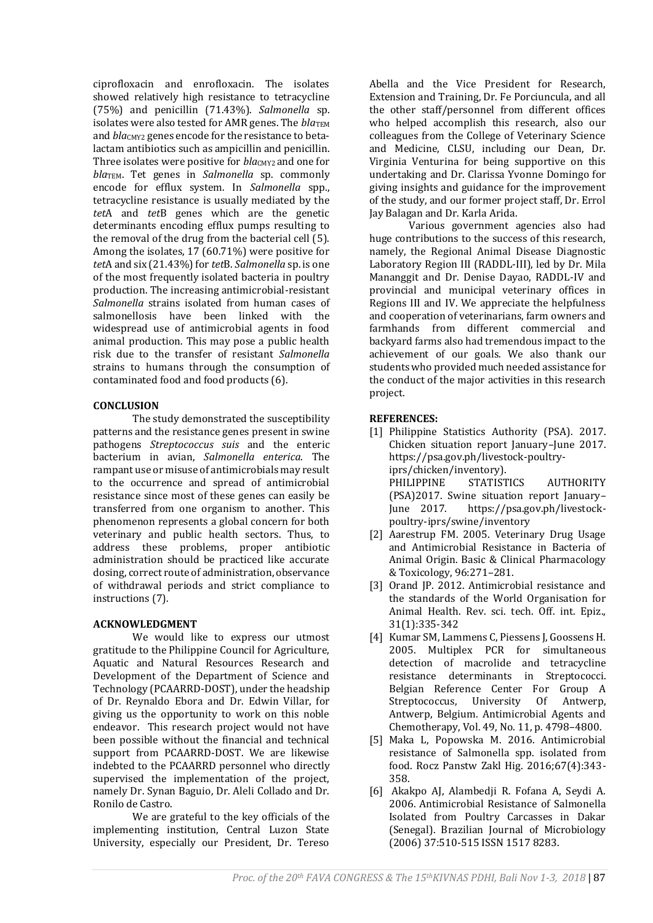ciprofloxacin and enrofloxacin. The isolates showed relatively high resistance to tetracycline (75%) and penicillin (71.43%). *Salmonella* sp. isolates were also tested for AMR genes. The *bla*TEM and *bla*<sub>CMY2</sub> genes encode for the resistance to betalactam antibiotics such as ampicillin and penicillin. Three isolates were positive for *blacMY2* and one for *bla*TEM. Tet genes in *Salmonella* sp. commonly encode for efflux system. In *Salmonella* spp., tetracycline resistance is usually mediated by the *tet*A and *tet*B genes which are the genetic determinants encoding efflux pumps resulting to the removal of the drug from the bacterial cell (5). Among the isolates, 17 (60.71%) were positive for *tet*A and six (21.43%) for *tet*B. *Salmonella* sp. is one of the most frequently isolated bacteria in poultry production. The increasing antimicrobial-resistant *Salmonella* strains isolated from human cases of salmonellosis have been linked with the widespread use of antimicrobial agents in food animal production. This may pose a public health risk due to the transfer of resistant *Salmonella* strains to humans through the consumption of contaminated food and food products (6).

### **CONCLUSION**

The study demonstrated the susceptibility patterns and the resistance genes present in swine pathogens *Streptococcus suis* and the enteric bacterium in avian, *Salmonella enterica*. The rampant use or misuse of antimicrobials may result to the occurrence and spread of antimicrobial resistance since most of these genes can easily be transferred from one organism to another. This phenomenon represents a global concern for both veterinary and public health sectors. Thus, to address these problems, proper antibiotic administration should be practiced like accurate dosing, correct route of administration, observance of withdrawal periods and strict compliance to instructions (7).

#### **ACKNOWLEDGMENT**

We would like to express our utmost gratitude to the Philippine Council for Agriculture, Aquatic and Natural Resources Research and Development of the Department of Science and Technology (PCAARRD-DOST), under the headship of Dr. Reynaldo Ebora and Dr. Edwin Villar, for giving us the opportunity to work on this noble endeavor. This research project would not have been possible without the financial and technical support from PCAARRD-DOST. We are likewise indebted to the PCAARRD personnel who directly supervised the implementation of the project, namely Dr. Synan Baguio, Dr. Aleli Collado and Dr. Ronilo de Castro.

We are grateful to the key officials of the implementing institution, Central Luzon State University, especially our President, Dr. Tereso

Abella and the Vice President for Research, Extension and Training, Dr. Fe Porciuncula, and all the other staff/personnel from different offices who helped accomplish this research, also our colleagues from the College of Veterinary Science and Medicine, CLSU, including our Dean, Dr. Virginia Venturina for being supportive on this undertaking and Dr. Clarissa Yvonne Domingo for giving insights and guidance for the improvement of the study, and our former project staff, Dr. Errol Jay Balagan and Dr. Karla Arida.

Various government agencies also had huge contributions to the success of this research, namely, the Regional Animal Disease Diagnostic Laboratory Region III (RADDL-III), led by Dr. Mila Mananggit and Dr. Denise Dayao, RADDL-IV and provincial and municipal veterinary offices in Regions III and IV. We appreciate the helpfulness and cooperation of veterinarians, farm owners and farmhands from different commercial and backyard farms also had tremendous impact to the achievement of our goals. We also thank our students who provided much needed assistance for the conduct of the major activities in this research project.

# **REFERENCES:**

- [1] Philippine Statistics Authority (PSA). 2017. Chicken situation report January–June 2017. https://psa.gov.ph/livestock-poultryiprs/chicken/inventory). PHILIPPINE STATISTICS AUTHORITY (PSA)2017. Swine situation report January– June 2017. https://psa.gov.ph/livestockpoultry-iprs/swine/inventory
- [2] Aarestrup FM. 2005. Veterinary Drug Usage and Antimicrobial Resistance in Bacteria of Animal Origin. Basic & Clinical Pharmacology & Toxicology, 96:271–281.
- [3] Orand JP. 2012. Antimicrobial resistance and the standards of the World Organisation for Animal Health. Rev. sci. tech. Off. int. Epiz., 31(1):335-342
- [4] Kumar SM, Lammens C, Piessens J, Goossens H. 2005. Multiplex PCR for simultaneous detection of macrolide and tetracycline resistance determinants in Streptococci. Belgian Reference Center For Group A Streptococcus, University Of Antwerp, Antwerp, Belgium. Antimicrobial Agents and Chemotherapy, Vol. 49, No. 11, p. 4798–4800.
- [5] Maka L, Popowska M. 2016. Antimicrobial resistance of Salmonella spp. isolated from food. Rocz Panstw Zakl Hig. 2016;67(4):343- 358.
- [6] Akakpo AJ, Alambedji R. Fofana A, Seydi A. 2006. Antimicrobial Resistance of Salmonella Isolated from Poultry Carcasses in Dakar (Senegal). Brazilian Journal of Microbiology (2006) 37:510-515 ISSN 1517 8283.